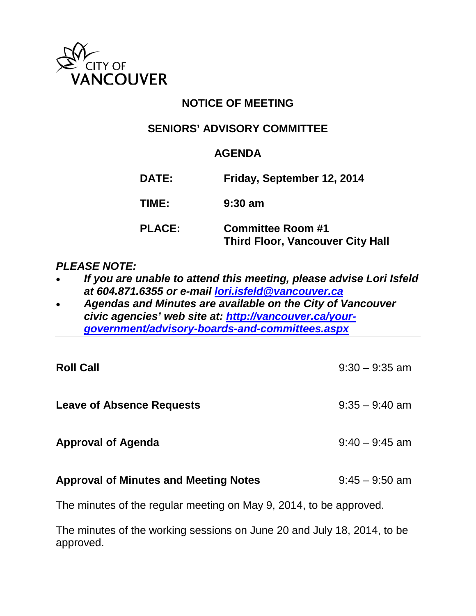

# **NOTICE OF MEETING**

## **SENIORS' ADVISORY COMMITTEE**

### **AGENDA**

| <b>DATE:</b>  | Friday, September 12, 2014                                          |
|---------------|---------------------------------------------------------------------|
| TIME:         | $9:30$ am                                                           |
| <b>PLACE:</b> | <b>Committee Room #1</b><br><b>Third Floor, Vancouver City Hall</b> |

### *PLEASE NOTE:*

- *If you are unable to attend this meeting, please advise Lori Isfeld at 604.871.6355 or e-mail [lori.isfeld@vancouver.ca](mailto:lori.isfeld@vancouver.ca)*
- *Agendas and Minutes are available on the City of Vancouver civic agencies' web site at: [http://vancouver.ca/your](http://vancouver.ca/your-government/advisory-boards-and-committees.aspx)[government/advisory-boards-and-committees.aspx](http://vancouver.ca/your-government/advisory-boards-and-committees.aspx)*

| <b>Roll Call</b>                                                   | $9:30 - 9:35$ am |  |
|--------------------------------------------------------------------|------------------|--|
| <b>Leave of Absence Requests</b>                                   | $9:35 - 9:40$ am |  |
| <b>Approval of Agenda</b>                                          | $9:40 - 9:45$ am |  |
| <b>Approval of Minutes and Meeting Notes</b>                       | $9:45 - 9:50$ am |  |
| The minutes of the regular meeting on May 9, 2014, to be approved. |                  |  |

The minutes of the working sessions on June 20 and July 18, 2014, to be approved.